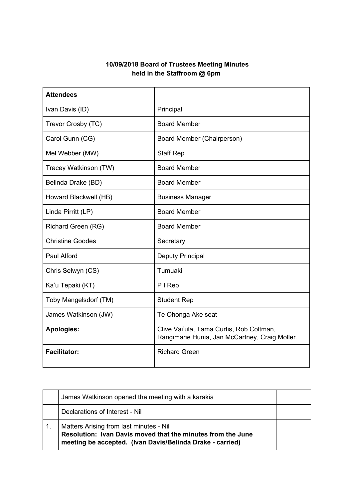## **10/09/2018 Board of Trustees Meeting Minutes held in the Staffroom @ 6pm**

| <b>Attendees</b>        |                                                                                            |
|-------------------------|--------------------------------------------------------------------------------------------|
| Ivan Davis (ID)         | Principal                                                                                  |
| Trevor Crosby (TC)      | <b>Board Member</b>                                                                        |
| Carol Gunn (CG)         | Board Member (Chairperson)                                                                 |
| Mel Webber (MW)         | <b>Staff Rep</b>                                                                           |
| Tracey Watkinson (TW)   | <b>Board Member</b>                                                                        |
| Belinda Drake (BD)      | <b>Board Member</b>                                                                        |
| Howard Blackwell (HB)   | <b>Business Manager</b>                                                                    |
| Linda Pirritt (LP)      | <b>Board Member</b>                                                                        |
| Richard Green (RG)      | <b>Board Member</b>                                                                        |
| <b>Christine Goodes</b> | Secretary                                                                                  |
| Paul Alford             | <b>Deputy Principal</b>                                                                    |
| Chris Selwyn (CS)       | Tumuaki                                                                                    |
| Ka'u Tepaki (KT)        | PIRep                                                                                      |
| Toby Mangelsdorf (TM)   | <b>Student Rep</b>                                                                         |
| James Watkinson (JW)    | Te Ohonga Ake seat                                                                         |
| <b>Apologies:</b>       | Clive Vai'ula, Tama Curtis, Rob Coltman,<br>Rangimarie Hunia, Jan McCartney, Craig Moller. |
| <b>Facilitator:</b>     | <b>Richard Green</b>                                                                       |

| James Watkinson opened the meeting with a karakia                                                                                                                   |  |
|---------------------------------------------------------------------------------------------------------------------------------------------------------------------|--|
| Declarations of Interest - Nil                                                                                                                                      |  |
| Matters Arising from last minutes - Nil<br>Resolution: Ivan Davis moved that the minutes from the June<br>meeting be accepted. (Ivan Davis/Belinda Drake - carried) |  |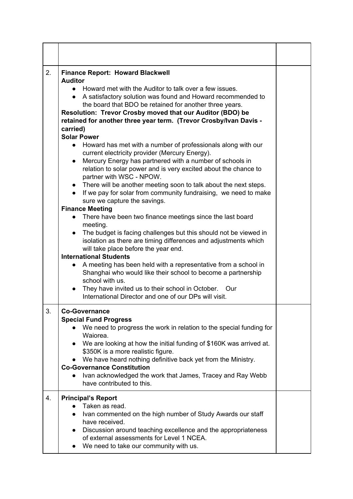| 2. | <b>Finance Report: Howard Blackwell</b><br><b>Auditor</b><br>• Howard met with the Auditor to talk over a few issues.<br>• A satisfactory solution was found and Howard recommended to<br>the board that BDO be retained for another three years.<br>Resolution: Trevor Crosby moved that our Auditor (BDO) be<br>retained for another three year term. (Trevor Crosby/Ivan Davis -<br>carried)<br><b>Solar Power</b><br>Howard has met with a number of professionals along with our<br>$\bullet$<br>current electricity provider (Mercury Energy).<br>Mercury Energy has partnered with a number of schools in<br>$\bullet$<br>relation to solar power and is very excited about the chance to<br>partner with WSC - NPOW.<br>• There will be another meeting soon to talk about the next steps.<br>• If we pay for solar from community fundraising, we need to make<br>sure we capture the savings.<br><b>Finance Meeting</b><br>There have been two finance meetings since the last board<br>meeting.<br>The budget is facing challenges but this should not be viewed in<br>$\bullet$<br>isolation as there are timing differences and adjustments which<br>will take place before the year end.<br><b>International Students</b><br>A meeting has been held with a representative from a school in<br>Shanghai who would like their school to become a partnership<br>school with us.<br>They have invited us to their school in October. Our<br>$\bullet$<br>International Director and one of our DPs will visit. |  |
|----|----------------------------------------------------------------------------------------------------------------------------------------------------------------------------------------------------------------------------------------------------------------------------------------------------------------------------------------------------------------------------------------------------------------------------------------------------------------------------------------------------------------------------------------------------------------------------------------------------------------------------------------------------------------------------------------------------------------------------------------------------------------------------------------------------------------------------------------------------------------------------------------------------------------------------------------------------------------------------------------------------------------------------------------------------------------------------------------------------------------------------------------------------------------------------------------------------------------------------------------------------------------------------------------------------------------------------------------------------------------------------------------------------------------------------------------------------------------------------------------------------------------------------|--|
| 3. | <b>Co-Governance</b><br><b>Special Fund Progress</b><br>We need to progress the work in relation to the special funding for<br>Waiorea.<br>We are looking at how the initial funding of \$160K was arrived at.<br>\$350K is a more realistic figure.<br>We have heard nothing definitive back yet from the Ministry.<br><b>Co-Governance Constitution</b><br>Ivan acknowledged the work that James, Tracey and Ray Webb<br>have contributed to this.                                                                                                                                                                                                                                                                                                                                                                                                                                                                                                                                                                                                                                                                                                                                                                                                                                                                                                                                                                                                                                                                       |  |
| 4. | <b>Principal's Report</b><br>Taken as read.<br>Ivan commented on the high number of Study Awards our staff<br>$\bullet$<br>have received.<br>Discussion around teaching excellence and the appropriateness<br>$\bullet$<br>of external assessments for Level 1 NCEA.<br>We need to take our community with us.                                                                                                                                                                                                                                                                                                                                                                                                                                                                                                                                                                                                                                                                                                                                                                                                                                                                                                                                                                                                                                                                                                                                                                                                             |  |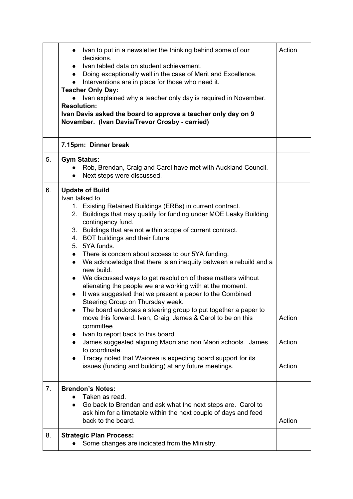|    | Ivan to put in a newsletter the thinking behind some of our<br>decisions.<br>Ivan tabled data on student achievement.<br>Doing exceptionally well in the case of Merit and Excellence.<br>$\bullet$<br>Interventions are in place for those who need it.<br><b>Teacher Only Day:</b><br>Ivan explained why a teacher only day is required in November.<br><b>Resolution:</b><br>Ivan Davis asked the board to approve a teacher only day on 9<br>November. (Ivan Davis/Trevor Crosby - carried)                                                                                                                                                                                                                                                                                                                                                                                                                                                                                                                                                                                                                                              | Action                     |
|----|----------------------------------------------------------------------------------------------------------------------------------------------------------------------------------------------------------------------------------------------------------------------------------------------------------------------------------------------------------------------------------------------------------------------------------------------------------------------------------------------------------------------------------------------------------------------------------------------------------------------------------------------------------------------------------------------------------------------------------------------------------------------------------------------------------------------------------------------------------------------------------------------------------------------------------------------------------------------------------------------------------------------------------------------------------------------------------------------------------------------------------------------|----------------------------|
|    | 7.15pm: Dinner break                                                                                                                                                                                                                                                                                                                                                                                                                                                                                                                                                                                                                                                                                                                                                                                                                                                                                                                                                                                                                                                                                                                         |                            |
| 5. | <b>Gym Status:</b><br>Rob, Brendan, Craig and Carol have met with Auckland Council.<br>Next steps were discussed.                                                                                                                                                                                                                                                                                                                                                                                                                                                                                                                                                                                                                                                                                                                                                                                                                                                                                                                                                                                                                            |                            |
| 6. | <b>Update of Build</b><br>Ivan talked to<br>1. Existing Retained Buildings (ERBs) in current contract.<br>2. Buildings that may qualify for funding under MOE Leaky Building<br>contingency fund.<br>3. Buildings that are not within scope of current contract.<br>4. BOT buildings and their future<br>5. 5YA funds.<br>There is concern about access to our 5YA funding.<br>We acknowledge that there is an inequity between a rebuild and a<br>$\bullet$<br>new build.<br>We discussed ways to get resolution of these matters without<br>$\bullet$<br>alienating the people we are working with at the moment.<br>It was suggested that we present a paper to the Combined<br>$\bullet$<br>Steering Group on Thursday week.<br>The board endorses a steering group to put together a paper to<br>move this forward. Ivan, Craig, James & Carol to be on this<br>committee.<br>Ivan to report back to this board.<br>James suggested aligning Maori and non Maori schools. James<br>to coordinate.<br>Tracey noted that Waiorea is expecting board support for its<br>$\bullet$<br>issues (funding and building) at any future meetings. | Action<br>Action<br>Action |
| 7. | <b>Brendon's Notes:</b><br>Taken as read.<br>Go back to Brendan and ask what the next steps are. Carol to<br>$\bullet$<br>ask him for a timetable within the next couple of days and feed<br>back to the board.                                                                                                                                                                                                                                                                                                                                                                                                                                                                                                                                                                                                                                                                                                                                                                                                                                                                                                                              | Action                     |
| 8. | <b>Strategic Plan Process:</b><br>Some changes are indicated from the Ministry.                                                                                                                                                                                                                                                                                                                                                                                                                                                                                                                                                                                                                                                                                                                                                                                                                                                                                                                                                                                                                                                              |                            |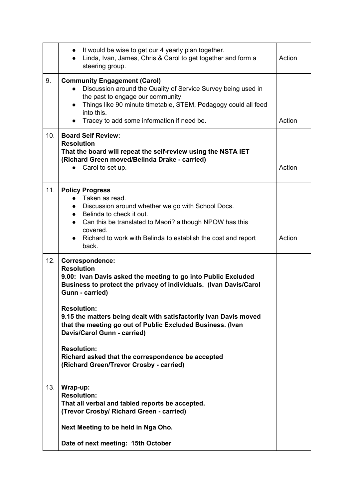|     | It would be wise to get our 4 yearly plan together.<br>$\bullet$<br>Linda, Ivan, James, Chris & Carol to get together and form a<br>steering group.                                                                                                                                                                                                                                                                                                                                                         | Action |
|-----|-------------------------------------------------------------------------------------------------------------------------------------------------------------------------------------------------------------------------------------------------------------------------------------------------------------------------------------------------------------------------------------------------------------------------------------------------------------------------------------------------------------|--------|
| 9.  | <b>Community Engagement (Carol)</b><br>Discussion around the Quality of Service Survey being used in<br>$\bullet$<br>the past to engage our community.<br>Things like 90 minute timetable, STEM, Pedagogy could all feed<br>into this.<br>Tracey to add some information if need be.                                                                                                                                                                                                                        | Action |
| 10. | <b>Board Self Review:</b><br><b>Resolution</b><br>That the board will repeat the self-review using the NSTA IET<br>(Richard Green moved/Belinda Drake - carried)<br>Carol to set up.                                                                                                                                                                                                                                                                                                                        | Action |
| 11. | <b>Policy Progress</b><br>Taken as read.<br>Discussion around whether we go with School Docs.<br>Belinda to check it out.<br>$\bullet$<br>Can this be translated to Maori? although NPOW has this<br>covered.<br>Richard to work with Belinda to establish the cost and report<br>back.                                                                                                                                                                                                                     | Action |
| 12. | Correspondence:<br><b>Resolution</b><br>9.00: Ivan Davis asked the meeting to go into Public Excluded<br>Business to protect the privacy of individuals. (Ivan Davis/Carol<br>Gunn - carried)<br><b>Resolution:</b><br>9.15 the matters being dealt with satisfactorily Ivan Davis moved<br>that the meeting go out of Public Excluded Business. (Ivan<br>Davis/Carol Gunn - carried)<br><b>Resolution:</b><br>Richard asked that the correspondence be accepted<br>(Richard Green/Trevor Crosby - carried) |        |
| 13. | Wrap-up:<br><b>Resolution:</b><br>That all verbal and tabled reports be accepted.<br>(Trevor Crosby/ Richard Green - carried)<br>Next Meeting to be held in Nga Oho.<br>Date of next meeting: 15th October                                                                                                                                                                                                                                                                                                  |        |